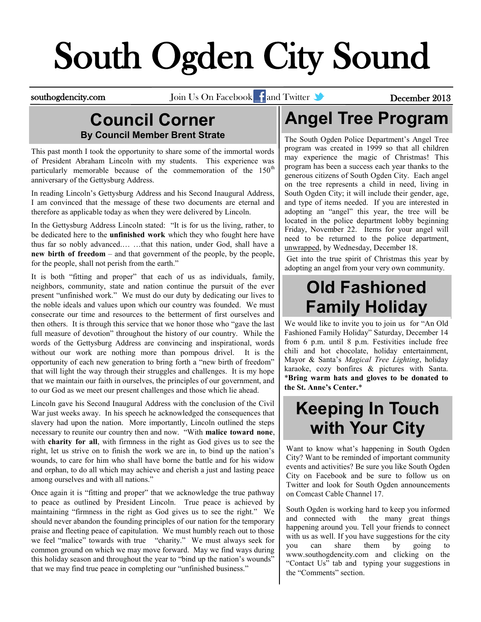# South Ogden City Sound

southogdencity.com Join Us On Facebook and Twitter **State of December 2013** 

#### **Council Corner By Council Member Brent Strate**

This past month I took the opportunity to share some of the immortal words of President Abraham Lincoln with my students. This experience was particularly memorable because of the commemoration of the  $150<sup>th</sup>$ anniversary of the Gettysburg Address.

In reading Lincoln's Gettysburg Address and his Second Inaugural Address, I am convinced that the message of these two documents are eternal and therefore as applicable today as when they were delivered by Lincoln.

In the Gettysburg Address Lincoln stated: "It is for us the living, rather, to be dedicated here to the **unfinished work** which they who fought here have thus far so nobly advanced.… …that this nation, under God, shall have a **new birth of freedom** – and that government of the people, by the people, for the people, shall not perish from the earth."

It is both "fitting and proper" that each of us as individuals, family, neighbors, community, state and nation continue the pursuit of the ever present "unfinished work." We must do our duty by dedicating our lives to the noble ideals and values upon which our country was founded. We must consecrate our time and resources to the betterment of first ourselves and then others. It is through this service that we honor those who "gave the last full measure of devotion" throughout the history of our country. While the words of the Gettysburg Address are convincing and inspirational, words without our work are nothing more than pompous drivel. It is the opportunity of each new generation to bring forth a "new birth of freedom" that will light the way through their struggles and challenges. It is my hope that we maintain our faith in ourselves, the principles of our government, and to our God as we meet our present challenges and those which lie ahead.

Lincoln gave his Second Inaugural Address with the conclusion of the Civil War just weeks away. In his speech he acknowledged the consequences that slavery had upon the nation. More importantly, Lincoln outlined the steps necessary to reunite our country then and now. "With **malice toward none**, with **charity for all**, with firmness in the right as God gives us to see the right, let us strive on to finish the work we are in, to bind up the nation's wounds, to care for him who shall have borne the battle and for his widow and orphan, to do all which may achieve and cherish a just and lasting peace among ourselves and with all nations."

Once again it is "fitting and proper" that we acknowledge the true pathway to peace as outlined by President Lincoln. True peace is achieved by maintaining "firmness in the right as God gives us to see the right." We should never abandon the founding principles of our nation for the temporary praise and fleeting peace of capitulation. We must humbly reach out to those we feel "malice" towards with true "charity." We must always seek for common ground on which we may move forward. May we find ways during this holiday season and throughout the year to "bind up the nation's wounds" that we may find true peace in completing our "unfinished business."

### **Angel Tree Program**

The South Ogden Police Department's Angel Tree program was created in 1999 so that all children may experience the magic of Christmas! This program has been a success each year thanks to the generous citizens of South Ogden City. Each angel on the tree represents a child in need, living in South Ogden City; it will include their gender, age, and type of items needed. If you are interested in adopting an "angel" this year, the tree will be located in the police department lobby beginning Friday, November 22. Items for your angel will need to be returned to the police department, unwrapped, by Wednesday, December 18.

Get into the true spirit of Christmas this year by adopting an angel from your very own community.

#### **Old Fashioned Family Holiday**

We would like to invite you to join us for "An Old Fashioned Family Holiday" Saturday, December 14 from 6 p.m. until 8 p.m. Festivities include free chili and hot chocolate, holiday entertainment, Mayor & Santa's *Magical Tree Lighting*, holiday karaoke, cozy bonfires & pictures with Santa. \***Bring warm hats and gloves to be donated to the St. Anne's Center.**\*

#### **Keeping In Touch with Your City**

Want to know what's happening in South Ogden City? Want to be reminded of important community events and activities? Be sure you like South Ogden City on Facebook and be sure to follow us on Twitter and look for South Ogden announcements on Comcast Cable Channel 17.

South Ogden is working hard to keep you informed and connected with the many great things happening around you. Tell your friends to connect with us as well. If you have suggestions for the city you can share them by going to www.southogdencity.com and clicking on the "Contact Us" tab and typing your suggestions in the "Comments" section.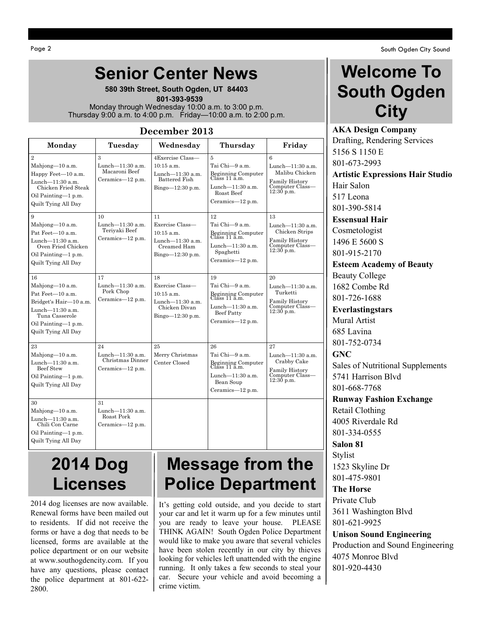#### **Senior Center News**

**580 39th Street, South Ogden, UT 84403**  **801-393-9539** Monday through Wednesday 10:00 a.m. to 3:00 p.m. Thursday 9:00 a.m. to 4:00 p.m. Friday—10:00 a.m. to 2:00 p.m.

#### **December 2013**

| Monday                                                                                                                                                     | Tuesday                                                        | Wednesday                                                                                          | Thursday                                                                                                                    | Friday                                                                                          |
|------------------------------------------------------------------------------------------------------------------------------------------------------------|----------------------------------------------------------------|----------------------------------------------------------------------------------------------------|-----------------------------------------------------------------------------------------------------------------------------|-------------------------------------------------------------------------------------------------|
| $\overline{2}$<br>Mahjong-10 a.m.<br>Happy Feet-10 a.m.<br>Lunch-11:30 a.m.<br>Chicken Fried Steak<br>Oil Painting-1 p.m.<br>Quilt Tying All Day           | 3<br>Lunch-11:30 a.m.<br>Macaroni Beef<br>Ceramics-12 p.m.     | 4Exercise Class-<br>$10:15$ a.m.<br>Lunch-11:30 a.m.<br><b>Battered Fish</b><br>$Bingo=12:30 p.m.$ | 5<br>Tai Chi—9 a.m.<br>Beginning Computer<br>Class 11 a.m.<br>Lunch-11:30 a.m.<br>Roast Beef<br>Ceramics- $12$ p.m.         | 6<br>Lunch- $11:30$ a.m.<br>Malibu Chicken<br>Family History<br>Computer Class—<br>$12:30$ p.m. |
| 9<br>Mahjong-10 a.m.<br>Pat Feet-10 a.m.<br>Lunch-11:30 a.m.<br>Oven Fried Chicken<br>Oil Painting-1 p.m.<br>Quilt Tying All Day                           | 10<br>Lunch-11:30 a.m.<br>Teriyaki Beef<br>Ceramics-12 p.m.    | 11<br>Exercise Class-<br>$10:15$ a.m.<br>Lunch-11:30 a.m.<br>Creamed Ham<br>$Bingo=12:30 p.m.$     | 12<br>Tai Chi-9 a.m.<br>Beginning Computer<br>Class 11 a.m.<br>Lunch- $11:30$ a.m.<br>Spaghetti<br>Ceramics-12 p.m.         | 13<br>Lunch $-11:30$ a.m.<br>Chicken Strips<br>Family History<br>Computer Class—<br>12:30 p.m.  |
| 16<br>Mahjong-10 a.m.<br>Pat Feet-10 a.m.<br>Bridget's Hair-10 a.m.<br>Lunch- $11:30$ a.m.<br>Tuna Casserole<br>Oil Painting-1 p.m.<br>Quilt Tying All Day | 17<br>Lunch-11:30 a.m.<br>Pork Chop<br>Ceramics-12 p.m.        | 18<br>Exercise Class-<br>$10:15$ a.m.<br>Lunch-11:30 a.m.<br>Chicken Divan<br>Bingo-12:30 p.m.     | 19<br>Tai Chi—9 a.m.<br>Beginning Computer<br>Class 11 a.m.<br>Lunch-11:30 a.m.<br><b>Beef Patty</b><br>Ceramics- $12$ p.m. | 20<br>Lunch-11:30 a.m.<br>Turketti<br>Family History<br>Computer Class—<br>12:30 p.m.           |
| 23<br>Mahjong-10 a.m.<br>Lunch- $11:30$ a.m.<br><b>Beef Stew</b><br>Oil Painting-1 p.m.<br>Quilt Tying All Day                                             | 24<br>Lunch-11:30 a.m.<br>Christmas Dinner<br>Ceramics-12 p.m. | 25<br>Merry Christmas<br>Center Closed                                                             | 26<br>Tai Chi-9 a.m.<br>Beginning Computer<br>Class 11 a.m.<br>Lunch-11:30 a.m.<br>Bean Soup<br>Ceramics-12 p.m.            | 27<br>Lunch-11:30 a.m.<br>Crabby Cake<br>Family History<br>Computer Class-<br>$12:30$ p.m.      |
| 30<br>Mahiong $-10$ a.m.<br>Lunch-11:30 a.m.<br>Chili Con Carne<br>Oil Painting-1 p.m.<br>Quilt Tying All Day                                              | 31<br>Lunch-11:30 a.m.<br>Roast Pork<br>Ceramics-12 p.m.       |                                                                                                    |                                                                                                                             |                                                                                                 |

#### **Welcome To South Ogden City**

**AKA Design Company** Drafting, Rendering Services 5156 S 1150 E 801-673-2993 **Artistic Expressions Hair Studio** Hair Salon 517 Leona 801-390-5814 **Essensual Hair** Cosmetologist 1496 E 5600 S 801-915-2170 **Esteem Academy of Beauty** Beauty College 1682 Combe Rd 801-726-1688 **Everlastingstars** Mural Artist 685 Lavina 801-752-0734 **GNC**  Sales of Nutritional Supplements 5741 Harrison Blvd 801-668-7768 **Runway Fashion Exchange** Retail Clothing 4005 Riverdale Rd 801-334-0555 **Salon 81** Stylist 1523 Skyline Dr 801-475-9801 **The Horse** Private Club 3611 Washington Blvd

801-621-9925

#### **Unison Sound Engineering**

Production and Sound Engineering 4075 Monroe Blvd 801-920-4430

### **2014 Dog Licenses**

2014 dog licenses are now available. Renewal forms have been mailed out to residents. If did not receive the forms or have a dog that needs to be licensed, forms are available at the police department or on our website at www.southogdencity.com. If you have any questions, please contact the police department at 801-622- 2800.

#### **Message from the Police Department**

It's getting cold outside, and you decide to start your car and let it warm up for a few minutes until you are ready to leave your house. PLEASE THINK AGAIN! South Ogden Police Department would like to make you aware that several vehicles have been stolen recently in our city by thieves looking for vehicles left unattended with the engine running. It only takes a few seconds to steal your car. Secure your vehicle and avoid becoming a crime victim.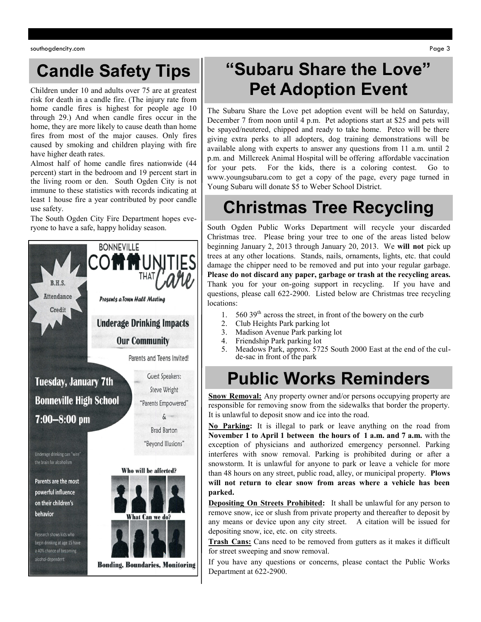### **Candle Safety Tips**

Children under 10 and adults over 75 are at greatest risk for death in a candle fire. (The injury rate from home candle fires is highest for people age 10 through 29.) And when candle fires occur in the home, they are more likely to cause death than home fires from most of the major causes. Only fires caused by smoking and children playing with fire have higher death rates.

Almost half of home candle fires nationwide (44 percent) start in the bedroom and 19 percent start in the living room or den. South Ogden City is not immune to these statistics with records indicating at least 1 house fire a year contributed by poor candle use safety.

The South Ogden City Fire Department hopes everyone to have a safe, happy holiday season.



### **"Subaru Share the Love" Pet Adoption Event**

The Subaru Share the Love pet adoption event will be held on Saturday, December 7 from noon until 4 p.m. Pet adoptions start at \$25 and pets will be spayed/neutered, chipped and ready to take home. Petco will be there giving extra perks to all adopters, dog training demonstrations will be available along with experts to answer any questions from 11 a.m. until 2 p.m. and Millcreek Animal Hospital will be offering affordable vaccination for your pets. For the kids, there is a coloring contest. Go to www.youngsubaru.com to get a copy of the page, every page turned in Young Subaru will donate \$5 to Weber School District.

# **Christmas Tree Recycling**

South Ogden Public Works Department will recycle your discarded Christmas tree. Please bring your tree to one of the areas listed below beginning January 2, 2013 through January 20, 2013. We **will not** pick up trees at any other locations. Stands, nails, ornaments, lights, etc. that could damage the chipper need to be removed and put into your regular garbage. **Please do not discard any paper, garbage or trash at the recycling areas.** Thank you for your on-going support in recycling. If you have and questions, please call 622-2900. Listed below are Christmas tree recycling locations:

- 1. 560 39<sup>th</sup> across the street, in front of the bowery on the curb
- 2. Club Heights Park parking lot
- 3. Madison Avenue Park parking lot
- 4. Friendship Park parking lot
- 5. Meadows Park, approx. 5725 South 2000 East at the end of the culde-sac in front of the park

### **Public Works Reminders**

**Snow Removal:** Any property owner and/or persons occupying property are responsible for removing snow from the sidewalks that border the property. It is unlawful to deposit snow and ice into the road.

**No Parking:** It is illegal to park or leave anything on the road from **November 1 to April 1 between the hours of 1 a.m. and 7 a.m.** with the exception of physicians and authorized emergency personnel. Parking interferes with snow removal. Parking is prohibited during or after a snowstorm. It is unlawful for anyone to park or leave a vehicle for more than 48 hours on any street, public road, alley, or municipal property. **Plows will not return to clear snow from areas where a vehicle has been parked.**

**Depositing On Streets Prohibited:** It shall be unlawful for any person to remove snow, ice or slush from private property and thereafter to deposit by any means or device upon any city street. A citation will be issued for depositing snow, ice, etc. on city streets.

**Trash Cans:** Cans need to be removed from gutters as it makes it difficult for street sweeping and snow removal.

If you have any questions or concerns, please contact the Public Works Department at 622-2900.